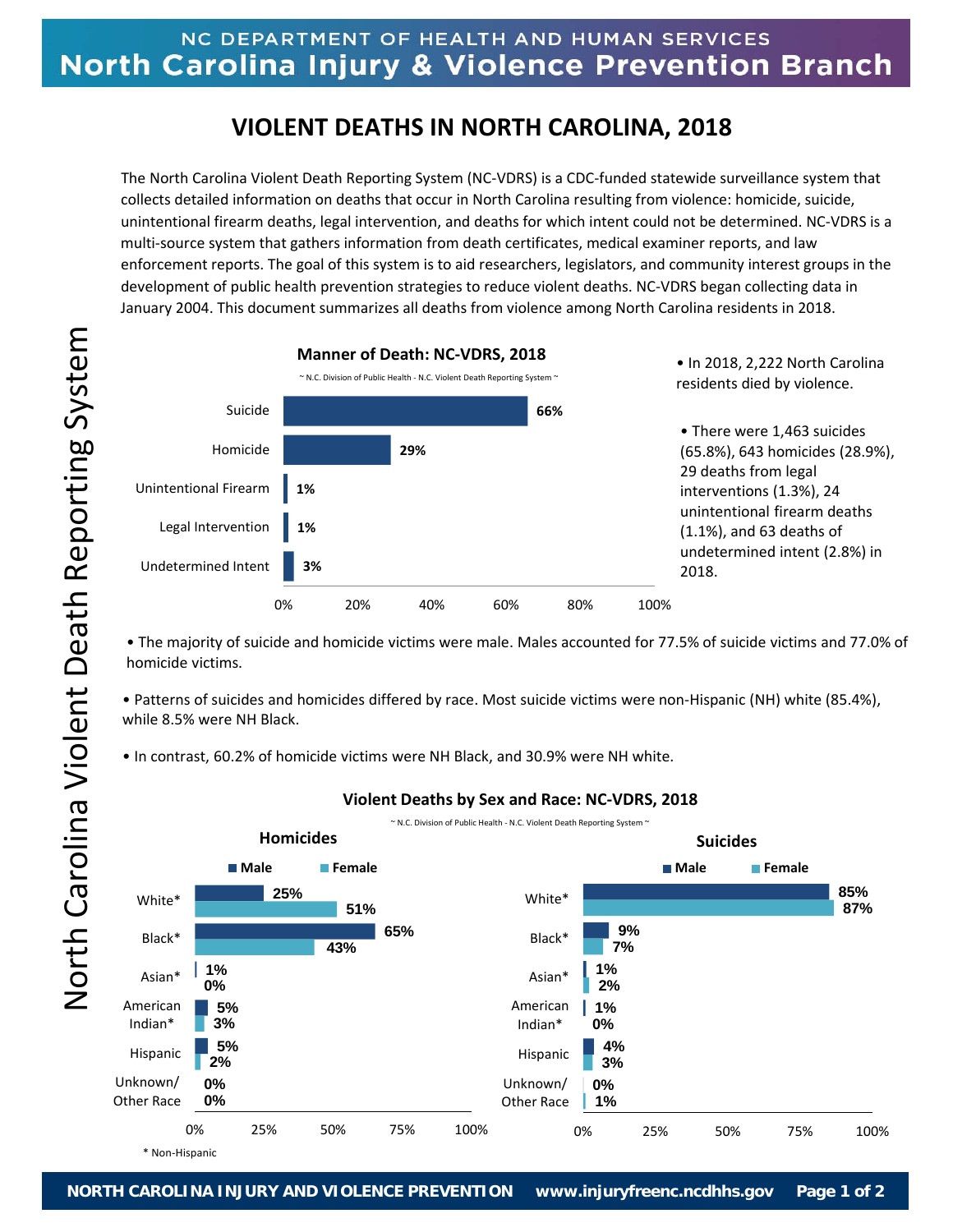# NC DEPARTMENT OF HEALTH AND HUMAN SERVICES North Carolina Injury & Violence Prevention Branch

# **VIOLENT DEATHS IN NORTH CAROLINA, 2018**

The North Carolina Violent Death Reporting System (NC‐VDRS) is a CDC‐funded statewide surveillance system that collects detailed information on deaths that occur in North Carolina resulting from violence: homicide, suicide, unintentional firearm deaths, legal intervention, and deaths for which intent could not be determined. NC‐VDRS is a multi‐source system that gathers information from death certificates, medical examiner reports, and law enforcement reports. The goal of this system is to aid researchers, legislators, and community interest groups in the development of public health prevention strategies to reduce violent deaths. NC‐VDRS began collecting data in January 2004. This document summarizes all deaths from violence among North Carolina residents in 2018.



• The majority of suicide and homicide victims were male. Males accounted for 77.5% of suicide victims and 77.0% of homicide victims.

• Patterns of suicides and homicides differed by race. Most suicide victims were non‐Hispanic (NH) white (85.4%), while 8.5% were NH Black.

• In contrast, 60.2% of homicide victims were NH Black, and 30.9% were NH white.



## **Violent Deaths by Sex and Race: NC‐VDRS, 2018**

North Carolina Violent Death Reporting System North Carolina Violent Death Reporting System